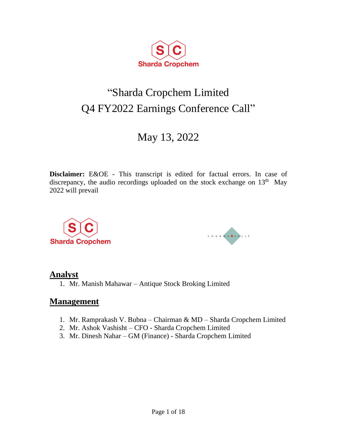

# "Sharda Cropchem Limited Q4 FY2022 Earnings Conference Call"

## May 13, 2022

**Disclaimer:** E&OE - This transcript is edited for factual errors. In case of discrepancy, the audio recordings uploaded on the stock exchange on  $13<sup>th</sup>$  May 2022 will prevail





## **Analyst**

1. Mr. Manish Mahawar – Antique Stock Broking Limited

## **Management**

- 1. Mr. Ramprakash V. Bubna Chairman & MD Sharda Cropchem Limited
- 2. Mr. Ashok Vashisht CFO Sharda Cropchem Limited
- 3. Mr. Dinesh Nahar GM (Finance) Sharda Cropchem Limited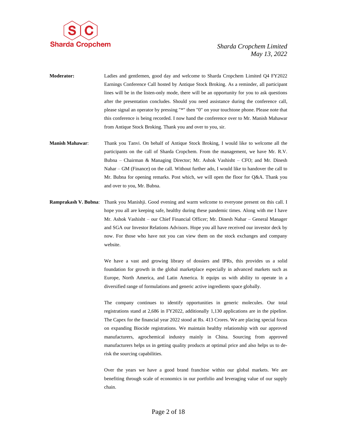

- **Moderator:** Ladies and gentlemen, good day and welcome to Sharda Cropchem Limited Q4 FY2022 Earnings Conference Call hosted by Antique Stock Broking. As a reminder, all participant lines will be in the listen-only mode, there will be an opportunity for you to ask questions after the presentation concludes. Should you need assistance during the conference call, please signal an operator by pressing "\*" then "0" on your touchtone phone. Please note that this conference is being recorded. I now hand the conference over to Mr. Manish Mahawar from Antique Stock Broking. Thank you and over to you, sir.
- **Manish Mahawar**: Thank you Tanvi. On behalf of Antique Stock Broking, I would like to welcome all the participants on the call of Sharda Cropchem. From the management, we have Mr. R.V. Bubna – Chairman & Managing Director; Mr. Ashok Vashisht – CFO; and Mr. Dinesh Nahar – GM (Finance) on the call. Without further ado, I would like to handover the call to Mr. Bubna for opening remarks. Post which, we will open the floor for Q&A. Thank you and over to you, Mr. Bubna.
- **Ramprakash V. Bubna**: Thank you Manishji. Good evening and warm welcome to everyone present on this call. I hope you all are keeping safe, healthy during these pandemic times. Along with me I have Mr. Ashok Vashisht – our Chief Financial Officer; Mr. Dinesh Nahar – General Manager and SGA our Investor Relations Advisors. Hope you all have received our investor deck by now. For those who have not you can view them on the stock exchanges and company website.

We have a vast and growing library of dossiers and IPRs, this provides us a solid foundation for growth in the global marketplace especially in advanced markets such as Europe, North America, and Latin America. It equips us with ability to operate in a diversified range of formulations and generic active ingredients space globally.

The company continues to identify opportunities in generic molecules. Our total registrations stand at 2,686 in FY2022, additionally 1,130 applications are in the pipeline. The Capex for the financial year 2022 stood at Rs. 413 Crores. We are placing special focus on expanding Biocide registrations. We maintain healthy relationship with our approved manufacturers, agrochemical industry mainly in China. Sourcing from approved manufacturers helps us in getting quality products at optimal price and also helps us to derisk the sourcing capabilities.

Over the years we have a good brand franchise within our global markets. We are benefiting through scale of economics in our portfolio and leveraging value of our supply chain.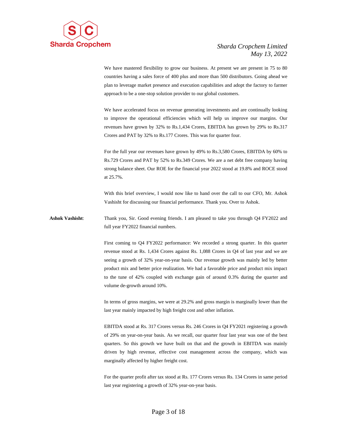

We have mastered flexibility to grow our business. At present we are present in 75 to 80 countries having a sales force of 400 plus and more than 500 distributors. Going ahead we plan to leverage market presence and execution capabilities and adopt the factory to farmer approach to be a one-stop solution provider to our global customers.

We have accelerated focus on revenue generating investments and are continually looking to improve the operational efficiencies which will help us improve our margins. Our revenues have grown by 32% to Rs.1,434 Crores, EBITDA has grown by 29% to Rs.317 Crores and PAT by 32% to Rs.177 Crores. This was for quarter four.

For the full year our revenues have grown by 49% to Rs.3,580 Crores, EBITDA by 60% to Rs.729 Crores and PAT by 52% to Rs.349 Crores. We are a net debt free company having strong balance sheet. Our ROE for the financial year 2022 stood at 19.8% and ROCE stood at 25.7%.

With this brief overview, I would now like to hand over the call to our CFO, Mr. Ashok Vashisht for discussing our financial performance. Thank you. Over to Ashok.

**Ashok Vashisht**: Thank you, Sir. Good evening friends. I am pleased to take you through Q4 FY2022 and full year FY2022 financial numbers.

> First coming to Q4 FY2022 performance: We recorded a strong quarter. In this quarter revenue stood at Rs. 1,434 Crores against Rs. 1,088 Crores in Q4 of last year and we are seeing a growth of 32% year-on-year basis. Our revenue growth was mainly led by better product mix and better price realization. We had a favorable price and product mix impact to the tune of 42% coupled with exchange gain of around 0.3% during the quarter and volume de-growth around 10%.

> In terms of gross margins, we were at 29.2% and gross margin is marginally lower than the last year mainly impacted by high freight cost and other inflation.

> EBITDA stood at Rs. 317 Crores versus Rs. 246 Crores in Q4 FY2021 registering a growth of 29% on year-on-year basis. As we recall, our quarter four last year was one of the best quarters. So this growth we have built on that and the growth in EBITDA was mainly driven by high revenue, effective cost management across the company, which was marginally affected by higher freight cost.

> For the quarter profit after tax stood at Rs. 177 Crores versus Rs. 134 Crores in same period last year registering a growth of 32% year-on-year basis.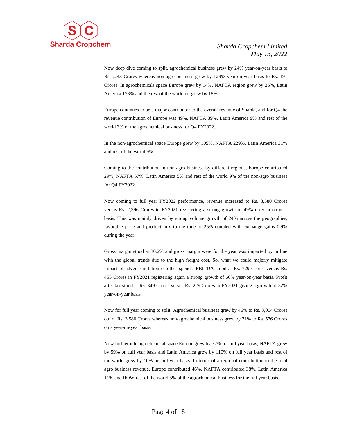

Now deep dive coming to split, agrochemical business grew by 24% year-on-year basis to Rs.1,243 Crores whereas non-agro business grew by 129% year-on-year basis to Rs. 191 Crores. In agrochemicals space Europe grew by 14%, NAFTA region grew by 26%, Latin America 173% and the rest of the world de-grew by 18%.

Europe continues to be a major contributor to the overall revenue of Sharda, and for Q4 the revenue contribution of Europe was 49%, NAFTA 39%, Latin America 9% and rest of the world 3% of the agrochemical business for Q4 FY2022.

In the non-agrochemical space Europe grew by 105%, NAFTA 229%, Latin America 31% and rest of the world 9%.

Coming to the contribution in non-agro business by different regions, Europe contributed 29%, NAFTA 57%, Latin America 5% and rest of the world 9% of the non-agro business for Q4 FY2022.

Now coming to full year FY2022 performance, revenue increased to Rs. 3,580 Crores versus Rs. 2,396 Crores in FY2021 registering a strong growth of 49% on year-on-year basis. This was mainly driven by strong volume growth of 24% across the geographies, favorable price and product mix to the tune of 25% coupled with exchange gains 0.9% during the year.

Gross margin stood at 30.2% and gross margin were for the year was impacted by in line with the global trends due to the high freight cost. So, what we could majorly mitigate impact of adverse inflation or other spends. EBITDA stood at Rs. 729 Crores versus Rs. 455 Crores in FY2021 registering again a strong growth of 60% year-on-year basis. Profit after tax stood at Rs. 349 Crores versus Rs. 229 Crores in FY2021 giving a growth of 52% year-on-year basis.

Now for full year coming to split: Agrochemical business grew by 46% to Rs. 3,004 Crores out of Rs. 3,580 Crores whereas non-agrochemical business grew by 71% to Rs. 576 Crores on a year-on-year basis.

Now further into agrochemical space Europe grew by 32% for full year basis, NAFTA grew by 59% on full year basis and Latin America grew by 110% on full year basis and rest of the world grew by 10% on full year basis. In terms of a regional contribution to the total agro business revenue, Europe contributed 46%, NAFTA contributed 38%, Latin America 11% and ROW rest of the world 5% of the agrochemical business for the full year basis.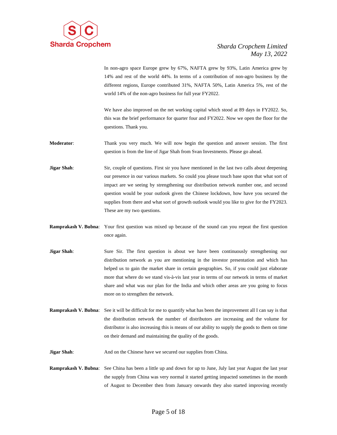

In non-agro space Europe grew by 67%, NAFTA grew by 93%, Latin America grew by 14% and rest of the world 44%. In terms of a contribution of non-agro business by the different regions, Europe contributed 31%, NAFTA 50%, Latin America 5%, rest of the world 14% of the non-agro business for full year FY2022.

We have also improved on the net working capital which stood at 89 days in FY2022. So, this was the brief performance for quarter four and FY2022. Now we open the floor for the questions. Thank you.

**Moderator**: Thank you very much. We will now begin the question and answer session. The first question is from the line of Jigar Shah from Svan Investments. Please go ahead.

**Jigar Shah**: Sir, couple of questions. First sir you have mentioned in the last two calls about deepening our presence in our various markets. So could you please touch base upon that what sort of impact are we seeing by strengthening our distribution network number one, and second question would be your outlook given the Chinese lockdown, how have you secured the supplies from there and what sort of growth outlook would you like to give for the FY2023. These are my two questions.

- **Ramprakash V. Bubna**: Your first question was mixed up because of the sound can you repeat the first question once again.
- **Jigar Shah**: Sure Sir. The first question is about we have been continuously strengthening our distribution network as you are mentioning in the investor presentation and which has helped us to gain the market share in certain geographies. So, if you could just elaborate more that where do we stand vis-à-vis last year in terms of our network in terms of market share and what was our plan for the India and which other areas are you going to focus more on to strengthen the network.
- **Ramprakash V. Bubna:** See it will be difficult for me to quantify what has been the improvement all I can say is that the distribution network the number of distributors are increasing and the volume for distributor is also increasing this is means of our ability to supply the goods to them on time on their demand and maintaining the quality of the goods.
- **Jigar Shah**: And on the Chinese have we secured our supplies from China.
- **Ramprakash V. Bubna**: See China has been a little up and down for up to June, July last year August the last year the supply from China was very normal it started getting impacted sometimes in the month of August to December then from January onwards they also started improving recently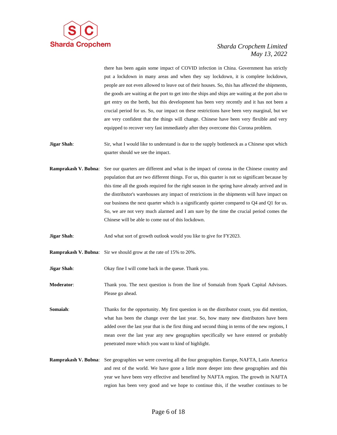

there has been again some impact of COVID infection in China. Government has strictly put a lockdown in many areas and when they say lockdown, it is complete lockdown, people are not even allowed to leave out of their houses. So, this has affected the shipments, the goods are waiting at the port to get into the ships and ships are waiting at the port also to get entry on the berth, but this development has been very recently and it has not been a crucial period for us. So, our impact on these restrictions have been very marginal, but we are very confident that the things will change. Chinese have been very flexible and very equipped to recover very fast immediately after they overcome this Corona problem.

- **Jigar Shah**: Sir, what I would like to understand is due to the supply bottleneck as a Chinese spot which quarter should we see the impact.
- **Ramprakash V. Bubna**: See our quarters are different and what is the impact of corona in the Chinese country and population that are two different things. For us, this quarter is not so significant because by this time all the goods required for the right season in the spring have already arrived and in the distributor's warehouses any impact of restrictions in the shipments will have impact on our business the next quarter which is a significantly quieter compared to Q4 and Q1 for us. So, we are not very much alarmed and I am sure by the time the crucial period comes the Chinese will be able to come out of this lockdown.
- **Jigar Shah**: And what sort of growth outlook would you like to give for FY2023.
- **Ramprakash V. Bubna**: Sir we should grow at the rate of 15% to 20%.

**Jigar Shah**: Okay fine I will come back in the queue. Thank you.

**Moderator**: Thank you. The next question is from the line of Somaiah from Spark Capital Advisors. Please go ahead.

**Somaiah:** Thanks for the opportunity. My first question is on the distributor count, you did mention, what has been the change over the last year. So, how many new distributors have been added over the last year that is the first thing and second thing in terms of the new regions, I mean over the last year any new geographies specifically we have entered or probably penetrated more which you want to kind of highlight.

**Ramprakash V. Bubna**: See geographies we were covering all the four geographies Europe, NAFTA, Latin America and rest of the world. We have gone a little more deeper into these geographies and this year we have been very effective and benefited by NAFTA region. The growth in NAFTA region has been very good and we hope to continue this, if the weather continues to be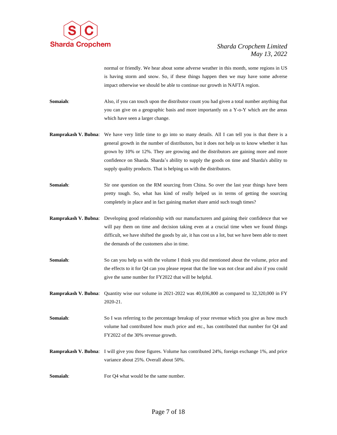

normal or friendly. We hear about some adverse weather in this month, some regions in US is having storm and snow. So, if these things happen then we may have some adverse impact otherwise we should be able to continue our growth in NAFTA region.

**Somaiah:** Also, if you can touch upon the distributor count you had given a total number anything that you can give on a geographic basis and more importantly on a Y-o-Y which are the areas which have seen a larger change.

- **Ramprakash V. Bubna**: We have very little time to go into so many details. All I can tell you is that there is a general growth in the number of distributors, but it does not help us to know whether it has grown by 10% or 12%. They are growing and the distributors are gaining more and more confidence on Sharda. Sharda's ability to supply the goods on time and Sharda's ability to supply quality products. That is helping us with the distributors.
- **Somaiah:** Sir one question on the RM sourcing from China. So over the last year things have been pretty tough. So, what has kind of really helped us in terms of getting the sourcing completely in place and in fact gaining market share amid such tough times?
- **Ramprakash V. Bubna**: Developing good relationship with our manufacturers and gaining their confidence that we will pay them on time and decision taking even at a crucial time when we found things difficult, we have shifted the goods by air, it has cost us a lot, but we have been able to meet the demands of the customers also in time.
- **Somaiah:** So can you help us with the volume I think you did mentioned about the volume, price and the effects to it for Q4 can you please repeat that the line was not clear and also if you could give the same number for FY2022 that will be helpful.

**Ramprakash V. Bubna**: Quantity wise our volume in 2021-2022 was 40,036,800 as compared to 32,320,000 in FY 2020-21.

- **Somaiah:** So I was referring to the percentage breakup of your revenue which you give as how much volume had contributed how much price and etc., has contributed that number for Q4 and FY2022 of the 30% revenue growth.
- **Ramprakash V. Bubna**: I will give you those figures. Volume has contributed 24%, foreign exchange 1%, and price variance about 25%. Overall about 50%.
- **Somaiah:** For Q4 what would be the same number.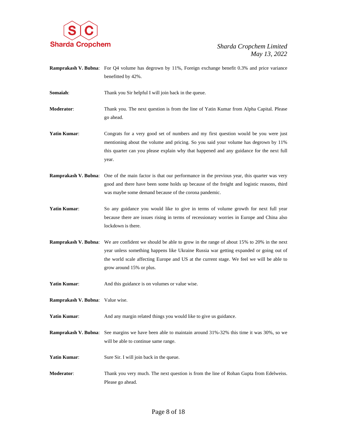

**Ramprakash V. Bubna**: For Q4 volume has degrown by 11%, Foreign exchange benefit 0.3% and price variance benefitted by 42%.

**Somaiah:** Thank you Sir helpful I will join back in the queue.

**Moderator**: Thank you. The next question is from the line of Yatin Kumar from Alpha Capital. Please go ahead.

- Yatin Kumar: Congrats for a very good set of numbers and my first question would be you were just mentioning about the volume and pricing. So you said your volume has degrown by 11% this quarter can you please explain why that happened and any guidance for the next full year.
- **Ramprakash V. Bubna**: One of the main factor is that our performance in the previous year, this quarter was very good and there have been some holds up because of the freight and logistic reasons, third was maybe some demand because of the corona pandemic.
- Yatin Kumar: So any guidance you would like to give in terms of volume growth for next full year because there are issues rising in terms of recessionary worries in Europe and China also lockdown is there.
- **Ramprakash V. Bubna**: We are confident we should be able to grow in the range of about 15% to 20% in the next year unless something happens like Ukraine Russia war getting expanded or going out of the world scale affecting Europe and US at the current stage. We feel we will be able to grow around 15% or plus.
- **Yatin Kumar:** And this guidance is on volumes or value wise.
- **Ramprakash V. Bubna**: Value wise.
- Yatin Kumar: And any margin related things you would like to give us guidance.
- **Ramprakash V. Bubna**: See margins we have been able to maintain around 31%-32% this time it was 30%, so we will be able to continue same range.
- **Yatin Kumar:** Sure Sir. I will join back in the queue.
- **Moderator**: Thank you very much. The next question is from the line of Rohan Gupta from Edelweiss. Please go ahead.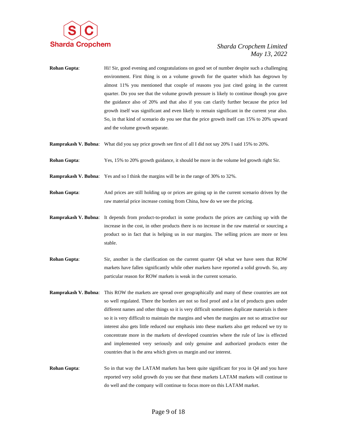

- **Rohan Gupta:** Hi! Sir, good evening and congratulations on good set of number despite such a challenging environment. First thing is on a volume growth for the quarter which has degrown by almost 11% you mentioned that couple of reasons you just cited going in the current quarter. Do you see that the volume growth pressure is likely to continue though you gave the guidance also of 20% and that also if you can clarify further because the price led growth itself was significant and even likely to remain significant in the current year also. So, in that kind of scenario do you see that the price growth itself can 15% to 20% upward and the volume growth separate.
- **Ramprakash V. Bubna**: What did you say price growth see first of all I did not say 20% I said 15% to 20%.
- **Rohan Gupta**: Yes, 15% to 20% growth guidance, it should be more in the volume led growth right Sir.
- **Ramprakash V. Bubna**: Yes and so I think the margins will be in the range of 30% to 32%.
- **Rohan Gupta**: And prices are still holding up or prices are going up in the current scenario driven by the raw material price increase coming from China, how do we see the pricing.
- **Ramprakash V. Bubna**: It depends from product-to-product in some products the prices are catching up with the increase in the cost, in other products there is no increase in the raw material or sourcing a product so in fact that is helping us in our margins. The selling prices are more or less stable.
- **Rohan Gupta:** Sir, another is the clarification on the current quarter Q4 what we have seen that ROW markets have fallen significantly while other markets have reported a solid growth. So, any particular reason for ROW markets is weak in the current scenario.
- **Ramprakash V. Bubna**: This ROW the markets are spread over geographically and many of these countries are not so well regulated. There the borders are not so fool proof and a lot of products goes under different names and other things so it is very difficult sometimes duplicate materials is there so it is very difficult to maintain the margins and when the margins are not so attractive our interest also gets little reduced our emphasis into these markets also get reduced we try to concentrate more in the markets of developed countries where the rule of law is effected and implemented very seriously and only genuine and authorized products enter the countries that is the area which gives us margin and our interest.
- **Rohan Gupta:** So in that way the LATAM markets has been quite significant for you in Q4 and you have reported very solid growth do you see that these markets LATAM markets will continue to do well and the company will continue to focus more on this LATAM market.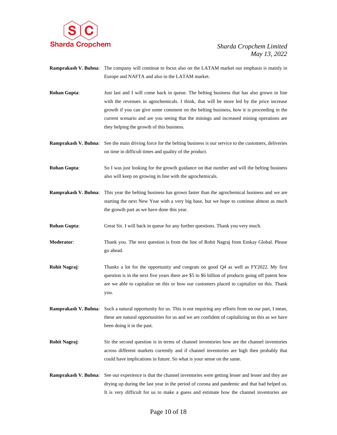

- **Ramprakash V. Bubna**: The company will continue to focus also on the LATAM market our emphasis is mainly in Europe and NAFTA and also in the LATAM market.
- **Rohan Gupta:** Just last and I will come back in queue. The belting business that has also grown in line with the revenues in agrochemicals. I think, that will be more led by the price increase growth if you can give some comment on the belting business, how it is proceeding in the current scenario and are you seeing that the minings and increased mining operations are they helping the growth of this business.
- **Ramprakash V. Bubna**: See the main driving force for the belting business is our service to the customers, deliveries on time in difficult times and quality of the product.
- **Rohan Gupta:** So I was just looking for the growth guidance on that number and will the belting business also will keep on growing in line with the agrochemicals.
- **Ramprakash V. Bubna**: This year the belting business has grown faster than the agrochemical business and we are starting the next New Year with a very big base, but we hope to continue almost as much the growth part as we have done this year.

**Rohan Gupta:** Great Sir. I will back in queue for any further questions. Thank you very much.

- **Moderator**: Thank you. The next question is from the line of Rohit Nagraj from Emkay Global. Please go ahead.
- **Rohit Nagraj:** Thanks a lot for the opportunity and congrats on good Q4 as well as FY2022. My first question is in the next five years there are \$5 to \$6 billion of products going off patent how are we able to capitalize on this or how our customers placed to capitalize on this. Thank you.
- **Ramprakash V. Bubna**: Such a natural opportunity for us. This is not requiring any efforts from on our part, I mean, these are natural opportunities for us and we are confident of capitalizing on this as we have been doing it in the past.
- **Rohit Nagraj:** Sir the second question is in terms of channel inventories how are the channel inventories across different markets currently and if channel inventories are high then probably that could have implications in future. So what is your sense on the same.
- **Ramprakash V. Bubna**: See our experience is that the channel inventories were getting lesser and lesser and they are drying up during the last year in the period of corona and pandemic and that had helped us. It is very difficult for us to make a guess and estimate how the channel inventories are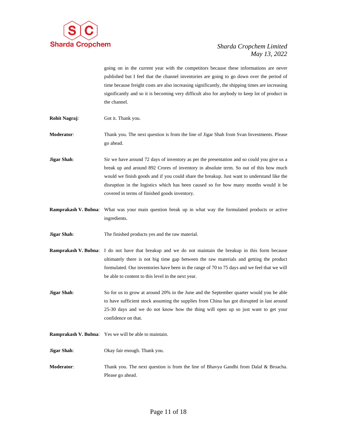

going on in the current year with the competitors because these informations are never published but I feel that the channel inventories are going to go down over the period of time because freight costs are also increasing significantly, the shipping times are increasing significantly and so it is becoming very difficult also for anybody to keep lot of product in the channel.

- **Rohit Nagraj**: Got it. Thank you.
- **Moderator:** Thank you. The next question is from the line of Jigar Shah from Svan Investments. Please go ahead.
- **Jigar Shah**: Sir we have around 72 days of inventory as per the presentation and so could you give us a break up and around 892 Crores of inventory in absolute term. So out of this how much would we finish goods and if you could share the breakup. Just want to understand like the disruption in the logistics which has been caused so for how many months would it be covered in terms of finished goods inventory.
- **Ramprakash V. Bubna**: What was your main question break up in what way the formulated products or active ingredients.
- **Jigar Shah**: The finished products yes and the raw material.
- **Ramprakash V. Bubna**: I do not have that breakup and we do not maintain the breakup in this form because ultimately there is not big time gap between the raw materials and getting the product formulated. Our inventories have been in the range of 70 to 75 days and we feel that we will be able to content to this level in the next year.
- **Jigar Shah**: So for us to grow at around 20% in the June and the September quarter would you be able to have sufficient stock assuming the supplies from China has got disrupted in last around 25-30 days and we do not know how the thing will open up so just want to get your confidence on that.
- **Ramprakash V. Bubna**: Yes we will be able to maintain.
- **Jigar Shah**: Okay fair enough. Thank you.
- **Moderator**: Thank you. The next question is from the line of Bhavya Gandhi from Dalal & Broacha. Please go ahead.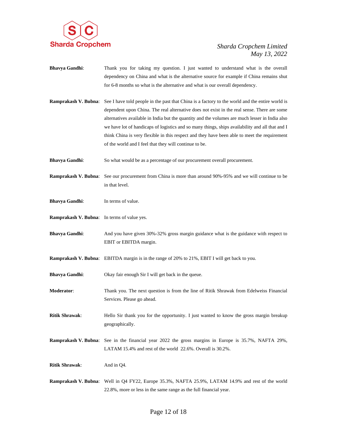

- **Bhavya Gandhi**: Thank you for taking my question. I just wanted to understand what is the overall dependency on China and what is the alternative source for example if China remains shut for 6-8 months so what is the alternative and what is our overall dependency.
- **Ramprakash V. Bubna:** See I have told people in the past that China is a factory to the world and the entire world is dependent upon China. The real alternative does not exist in the real sense. There are some alternatives available in India but the quantity and the volumes are much lesser in India also we have lot of handicaps of logistics and so many things, ships availability and all that and I think China is very flexible in this respect and they have been able to meet the requirement of the world and I feel that they will continue to be.
- **Bhavya Gandhi:** So what would be as a percentage of our procurement overall procurement.
- **Ramprakash V. Bubna**: See our procurement from China is more than around 90%-95% and we will continue to be in that level.
- **Bhavya Gandhi:** In terms of value.
- **Ramprakash V. Bubna**: In terms of value yes.
- **Bhavya Gandhi:** And you have given 30%-32% gross margin guidance what is the guidance with respect to EBIT or EBITDA margin.
- **Ramprakash V. Bubna**: EBITDA margin is in the range of 20% to 21%, EBIT I will get back to you.
- **Bhavya Gandhi:** Okay fair enough Sir I will get back in the queue.
- **Moderator**: Thank you. The next question is from the line of Ritik Shrawak from Edelweiss Financial Services. Please go ahead.
- **Ritik Shrawak:** Hello Sir thank you for the opportunity. I just wanted to know the gross margin breakup geographically.
- **Ramprakash V. Bubna**: See in the financial year 2022 the gross margins in Europe is 35.7%, NAFTA 29%, LATAM 15.4% and rest of the world 22.6%. Overall is 30.2%.
- **Ritik Shrawak:** And in Q4.
- **Ramprakash V. Bubna**: Well in Q4 FY22, Europe 35.3%, NAFTA 25.9%, LATAM 14.9% and rest of the world 22.8%, more or less in the same range as the full financial year.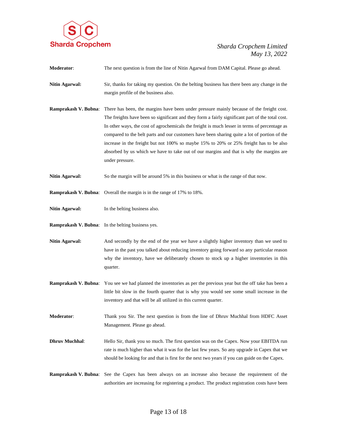

**Moderator**: The next question is from the line of Nitin Agarwal from DAM Capital. Please go ahead. **Nitin Agarwal:** Sir, thanks for taking my question. On the belting business has there been any change in the margin profile of the business also. **Ramprakash V. Bubna**: There has been, the margins have been under pressure mainly because of the freight cost. The freights have been so significant and they form a fairly significant part of the total cost. In other ways, the cost of agrochemicals the freight is much lesser in terms of percentage as compared to the belt parts and our customers have been sharing quite a lot of portion of the increase in the freight but not 100% so maybe 15% to 20% or 25% freight has to be also absorbed by us which we have to take out of our margins and that is why the margins are under pressure. **Nitin Agarwal:** So the margin will be around 5% in this business or what is the range of that now. **Ramprakash V. Bubna**: Overall the margin is in the range of 17% to 18%. **Nitin Agarwal:** In the belting business also. **Ramprakash V. Bubna**: In the belting business yes. Nitin Agarwal: And secondly by the end of the year we have a slightly higher inventory than we used to have in the past you talked about reducing inventory going forward so any particular reason why the inventory, have we deliberately chosen to stock up a higher inventories in this quarter. **Ramprakash V. Bubna**: You see we had planned the inventories as per the previous year but the off take has been a little bit slow in the fourth quarter that is why you would see some small increase in the inventory and that will be all utilized in this current quarter. **Moderator**: Thank you Sir. The next question is from the line of Dhruv Muchhal from HDFC Asset Management. Please go ahead. **Dhruv Muchhal:** Hello Sir, thank you so much. The first question was on the Capex. Now your EBITDA run rate is much higher than what it was for the last few years. So any upgrade in Capex that we should be looking for and that is first for the next two years if you can guide on the Capex. **Ramprakash V. Bubna**: See the Capex has been always on an increase also because the requirement of the authorities are increasing for registering a product. The product registration costs have been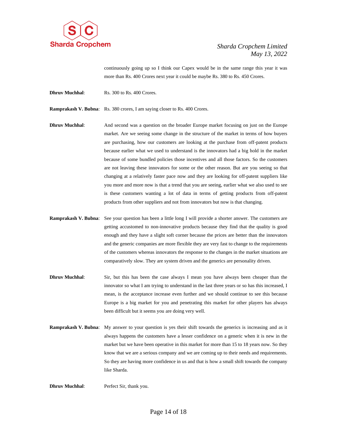

continuously going up so I think our Capex would be in the same range this year it was more than Rs. 400 Crores next year it could be maybe Rs. 380 to Rs. 450 Crores.

- **Dhruv Muchhal:** Rs. 300 to Rs. 400 Crores.
- **Ramprakash V. Bubna**: Rs. 380 crores, I am saying closer to Rs. 400 Crores.
- **Dhruv Muchhal:** And second was a question on the broader Europe market focusing on just on the Europe market. Are we seeing some change in the structure of the market in terms of how buyers are purchasing, how our customers are looking at the purchase from off-patent products because earlier what we used to understand is the innovators had a big hold in the market because of some bundled policies those incentives and all those factors. So the customers are not leaving these innovators for some or the other reason. But are you seeing so that changing at a relatively faster pace now and they are looking for off-patent suppliers like you more and more now is that a trend that you are seeing, earlier what we also used to see is these customers wanting a lot of data in terms of getting products from off-patent products from other suppliers and not from innovators but now is that changing.
- **Ramprakash V. Bubna**: See your question has been a little long I will provide a shorter answer. The customers are getting accustomed to non-innovative products because they find that the quality is good enough and they have a slight soft corner because the prices are better than the innovators and the generic companies are more flexible they are very fast to change to the requirements of the customers whereas innovators the response to the changes in the market situations are comparatively slow. They are system driven and the generics are personality driven.
- **Dhruv Muchhal:** Sir, but this has been the case always I mean you have always been cheaper than the innovator so what I am trying to understand in the last three years or so has this increased, I mean, is the acceptance increase even further and we should continue to see this because Europe is a big market for you and penetrating this market for other players has always been difficult but it seems you are doing very well.
- **Ramprakash V. Bubna:** My answer to your question is yes their shift towards the generics is increasing and as it always happens the customers have a lesser confidence on a generic when it is new in the market but we have been operative in this market for more than 15 to 18 years now. So they know that we are a serious company and we are coming up to their needs and requirements. So they are having more confidence in us and that is how a small shift towards the company like Sharda.

**Dhruv Muchhal**: Perfect Sir, thank you.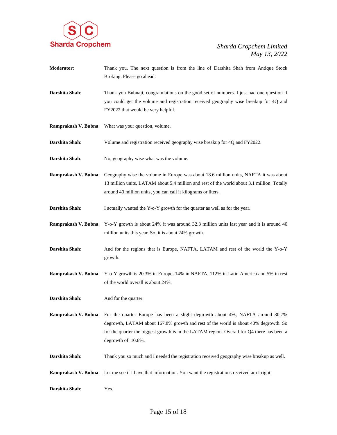

- **Moderator**: Thank you. The next question is from the line of Darshita Shah from Antique Stock Broking. Please go ahead.
- **Darshita Shah**: Thank you Bubnaji, congratulations on the good set of numbers. I just had one question if you could get the volume and registration received geography wise breakup for 4Q and FY2022 that would be very helpful.
- **Ramprakash V. Bubna**: What was your question, volume.
- **Darshita Shah**: Volume and registration received geography wise breakup for 4Q and FY2022.
- **Darshita Shah:** No, geography wise what was the volume.
- **Ramprakash V. Bubna**: Geography wise the volume in Europe was about 18.6 million units, NAFTA it was about 13 million units, LATAM about 5.4 million and rest of the world about 3.1 million. Totally around 40 million units, you can call it kilograms or liters.
- **Darshita Shah:** I actually wanted the Y-o-Y growth for the quarter as well as for the year.
- **Ramprakash V. Bubna**: Y-o-Y growth is about 24% it was around 32.3 million units last year and it is around 40 million units this year. So, it is about 24% growth.
- **Darshita Shah**: And for the regions that is Europe, NAFTA, LATAM and rest of the world the Y-o-Y growth.
- **Ramprakash V. Bubna**: Y-o-Y growth is 20.3% in Europe, 14% in NAFTA, 112% in Latin America and 5% in rest of the world overall is about 24%.
- **Darshita Shah:** And for the quarter.
- **Ramprakash V. Bubna**: For the quarter Europe has been a slight degrowth about 4%, NAFTA around 30.7% degrowth, LATAM about 167.8% growth and rest of the world is about 40% degrowth. So for the quarter the biggest growth is in the LATAM region. Overall for Q4 there has been a degrowth of 10.6%.
- **Darshita Shah**: Thank you so much and I needed the registration received geography wise breakup as well.
- **Ramprakash V. Bubna**: Let me see if I have that information. You want the registrations received am I right.
- **Darshita Shah**: Yes.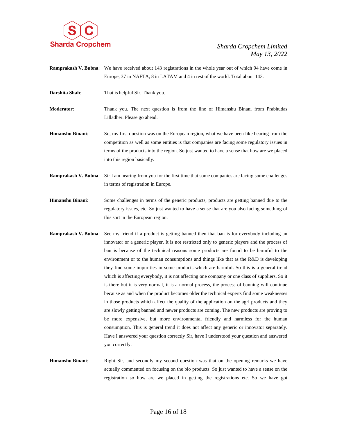

- **Ramprakash V. Bubna**: We have received about 143 registrations in the whole year out of which 94 have come in Europe, 37 in NAFTA, 8 in LATAM and 4 in rest of the world. Total about 143.
- **Darshita Shah:** That is helpful Sir. Thank you.

**Moderator**: Thank you. The next question is from the line of Himanshu Binani from Prabhudas Lilladher. Please go ahead.

- **Himanshu Binani**: So, my first question was on the European region, what we have been like hearing from the competition as well as some entities is that companies are facing some regulatory issues in terms of the products into the region. So just wanted to have a sense that how are we placed into this region basically.
- **Ramprakash V. Bubna**: Sir I am hearing from you for the first time that some companies are facing some challenges in terms of registration in Europe.
- **Himanshu Binani**: Some challenges in terms of the generic products, products are getting banned due to the regulatory issues, etc. So just wanted to have a sense that are you also facing something of this sort in the European region.
- **Ramprakash V. Bubna**: See my friend if a product is getting banned then that ban is for everybody including an innovator or a generic player. It is not restricted only to generic players and the process of ban is because of the technical reasons some products are found to be harmful to the environment or to the human consumptions and things like that as the R&D is developing they find some impurities in some products which are harmful. So this is a general trend which is affecting everybody, it is not affecting one company or one class of suppliers. So it is there but it is very normal, it is a normal process, the process of banning will continue because as and when the product becomes older the technical experts find some weaknesses in those products which affect the quality of the application on the agri products and they are slowly getting banned and newer products are coming. The new products are proving to be more expensive, but more environmental friendly and harmless for the human consumption. This is general trend it does not affect any generic or innovator separately. Have I answered your question correctly Sir, have I understood your question and answered you correctly.
- **Himanshu Binani:** Right Sir, and secondly my second question was that on the opening remarks we have actually commented on focusing on the bio products. So just wanted to have a sense on the registration so how are we placed in getting the registrations etc. So we have got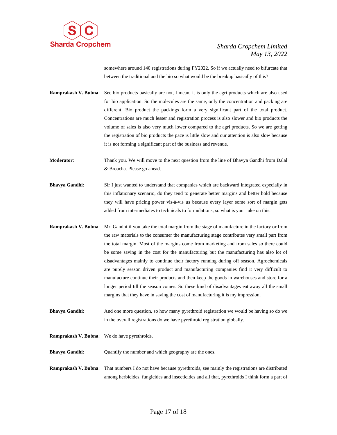

somewhere around 140 registrations during FY2022. So if we actually need to bifurcate that between the traditional and the bio so what would be the breakup basically of this?

**Ramprakash V. Bubna**: See bio products basically are not, I mean, it is only the agri products which are also used for bio application. So the molecules are the same, only the concentration and packing are different. Bio product the packings form a very significant part of the total product. Concentrations are much lesser and registration process is also slower and bio products the volume of sales is also very much lower compared to the agri products. So we are getting the registration of bio products the pace is little slow and our attention is also slow because it is not forming a significant part of the business and revenue.

**Moderator**: Thank you. We will move to the next question from the line of Bhavya Gandhi from Dalal & Broacha. Please go ahead.

- **Bhavya Gandhi:** Sir I just wanted to understand that companies which are backward integrated especially in this inflationary scenario, do they tend to generate better margins and better hold because they will have pricing power vis-à-vis us because every layer some sort of margin gets added from intermediates to technicals to formulations, so what is your take on this.
- **Ramprakash V. Bubna**: Mr. Gandhi if you take the total margin from the stage of manufacture in the factory or from the raw materials to the consumer the manufacturing stage contributes very small part from the total margin. Most of the margins come from marketing and from sales so there could be some saving in the cost for the manufacturing but the manufacturing has also lot of disadvantages mainly to continue their factory running during off season. Agrochemicals are purely season driven product and manufacturing companies find it very difficult to manufacture continue their products and then keep the goods in warehouses and store for a longer period till the season comes. So these kind of disadvantages eat away all the small margins that they have in saving the cost of manufacturing it is my impression.
- **Bhavya Gandhi:** And one more question, so how many pyrethroid registration we would be having so do we in the overall registrations do we have pyrethroid registration globally.
- **Ramprakash V. Bubna**: We do have pyrethroids.

**Bhavya Gandhi:** Quantify the number and which geography are the ones.

**Ramprakash V. Bubna**: That numbers I do not have because pyrethroids, see mainly the registrations are distributed among herbicides, fungicides and insecticides and all that, pyrethroids I think form a part of